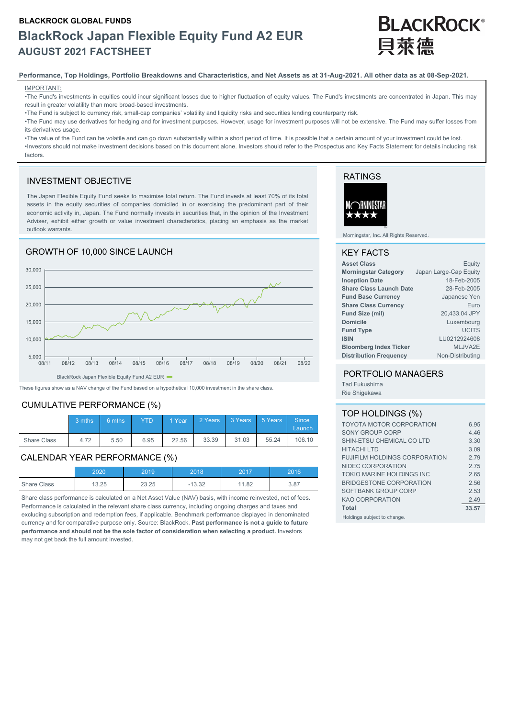# **BLACKROCK GLOBAL FUNDS BlackRock Japan Flexible Equity Fund A2 EUR AUGUST 2021 FACTSHEET**

# **BLACKROCK®** 目萊德

#### **Performance, Top Holdings, Portfolio Breakdowns and Characteristics, and Net Assets as at 31-Aug-2021. All other data as at 08-Sep-2021.**

#### IMPORTANT:

•The Fund's investments in equities could incur significant losses due to higher fluctuation of equity values. The Fund's investments are concentrated in Japan. This may result in greater volatility than more broad-based investments.

•The Fund is subject to currency risk, small-cap companies' volatility and liquidity risks and securities lending counterparty risk.

•The Fund may use derivatives for hedging and for investment purposes. However, usage for investment purposes will not be extensive. The Fund may suffer losses from its derivatives usage

•The value of the Fund can be volatile and can go down substantially within a short period of time. It is possible that a certain amount of your investment could be lost. •Investors should not make investment decisions based on this document alone. Investors should refer to the Prospectus and Key Facts Statement for details including risk factors.

#### INVESTMENT OBJECTIVE

The Japan Flexible Equity Fund seeks to maximise total return. The Fund invests at least 70% of its total assets in the equity securities of companies domiciled in or exercising the predominant part of their economic activity in, Japan. The Fund normally invests in securities that, in the opinion of the Investment Adviser, exhibit either growth or value investment characteristics, placing an emphasis as the market outlook warrants.

#### GROWTH OF 10,000 SINCE LAUNCH 30.000 25,000 20,000 15,000 10,000 5.000  $08/13$  $08/14$  $08/15$  $0.8/19$  $\frac{1}{2}$  $08/21$  $08/11$  $08/12$  $08/16$  $08/17$  $08/18$

BlackRock Japan Flexible Equity Fund A2 EUR  $\blacksquare$ 

These figures show as a NAV change of the Fund based on a hypothetical 10,000 investment in the share class.

#### CUMULATIVE PERFORMANCE (%)

|             | 3 mths | $6 \text{ mths}$ | <b>YTD</b> |       | 1 Year 2 Years 3 Years 5 Years Since |       |       | Launch |
|-------------|--------|------------------|------------|-------|--------------------------------------|-------|-------|--------|
| Share Class | 4.72   | 5.50             | 6.95       | 22.56 | 33.39                                | 31.03 | 55.24 | 106.10 |

#### CALENDAR YEAR PERFORMANCE (%)

|                    | 2020  | 2019  | 2018  | 2017  | 2016 |
|--------------------|-------|-------|-------|-------|------|
| <b>Share Class</b> | 13.25 | 23.25 | 13.32 | 11.82 | 3.87 |

Share class performance is calculated on a Net Asset Value (NAV) basis, with income reinvested, net of fees. Performance is calculated in the relevant share class currency, including ongoing charges and taxes and excluding subscription and redemption fees, if applicable. Benchmark performance displayed in denominated currency and for comparative purpose only. Source: BlackRock. **Past performance is not a guide to future performance and should not be the sole factor of consideration when selecting a product.** Investors may not get back the full amount invested.

## RATINGS



Morningstar, Inc. All Rights Reserved.

#### KEY FACTS

| <b>Asset Class</b>             | Equity                 |
|--------------------------------|------------------------|
| <b>Morningstar Category</b>    | Japan Large-Cap Equity |
| <b>Inception Date</b>          | 18-Feb-2005            |
| <b>Share Class Launch Date</b> | 28-Feb-2005            |
| <b>Fund Base Currency</b>      | Japanese Yen           |
| <b>Share Class Currency</b>    | Euro                   |
| Fund Size (mil)                | 20,433.04 JPY          |
| <b>Domicile</b>                | Luxembourg             |
| <b>Fund Type</b>               | <b>UCITS</b>           |
| <b>ISIN</b>                    | LU0212924608           |
| <b>Bloomberg Index Ticker</b>  | MLJVA2E                |
| <b>Distribution Frequency</b>  | Non-Distributing       |

#### PORTFOLIO MANAGERS

Tad Fukushima Rie Shigekawa

 $08/22$ 

#### TOP HOLDINGS (%)

| <b>TOYOTA MOTOR CORPORATION</b>      | 6.95  |
|--------------------------------------|-------|
| SONY GROUP CORP                      | 4.46  |
| SHIN-ETSU CHEMICAL CO LTD            | 3.30  |
| <b>HITACHI LTD</b>                   | 3.09  |
| <b>FUJIFILM HOLDINGS CORPORATION</b> | 279   |
| NIDEC CORPORATION                    | 275   |
| TOKIO MARINE HOLDINGS INC            | 2.65  |
| BRIDGESTONE CORPORATION              | 2.56  |
| SOFTBANK GROUP CORP                  | 2.53  |
| <b>KAO CORPORATION</b>               | 2.49  |
| <b>Total</b>                         | 33.57 |
| Holdings subject to change.          |       |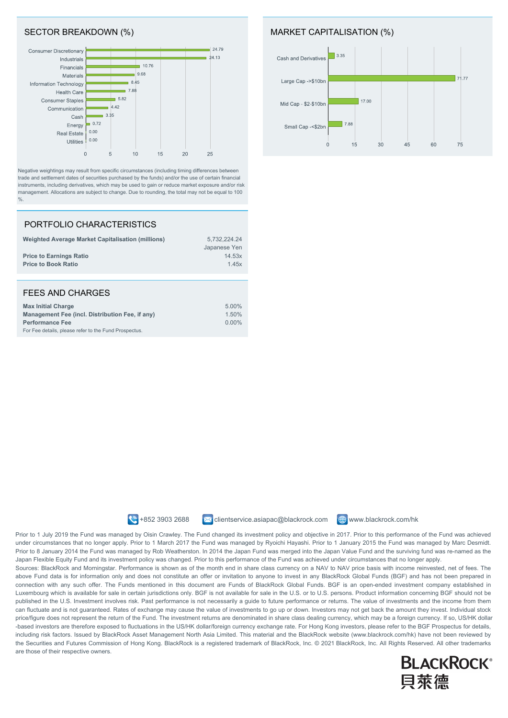### SECTOR BREAKDOWN (%)



Negative weightings may result from specific circumstances (including timing differences between trade and settlement dates of securities purchased by the funds) and/or the use of certain financial instruments, including derivatives, which may be used to gain or reduce market exposure and/or risk management. Allocations are subject to change. Due to rounding, the total may not be equal to 100  $\frac{0}{0}$ .

#### PORTFOLIO CHARACTERISTICS

For Fee details, please refer to the Fund Prospectus.

| <b>Weighted Average Market Capitalisation (millions)</b><br><b>Price to Earnings Ratio</b><br><b>Price to Book Ratio</b> | 5,732,224.24<br>Japanese Yen<br>14.53x<br>1.45x |
|--------------------------------------------------------------------------------------------------------------------------|-------------------------------------------------|
|                                                                                                                          |                                                 |
| <b>FEES AND CHARGES</b>                                                                                                  |                                                 |
| <b>Max Initial Charge</b><br>Management Fee (incl. Distribution Fee, if any)                                             | 5.00%<br>1.50%                                  |

**Performance Fee** 0.00%

#### MARKET CAPITALISATION (%)





 $\leftrightarrow$  +852 3903 2688  $\rightarrow$  clientservice.asiapac@blackrock.com  $\oplus$  www.blackrock.com/hk

Prior to 1 July 2019 the Fund was managed by Oisin Crawley. The Fund changed its investment policy and objective in 2017. Prior to this performance of the Fund was achieved under circumstances that no longer apply. Prior to 1 March 2017 the Fund was managed by Ryoichi Hayashi. Prior to 1 January 2015 the Fund was managed by Marc Desmidt. Prior to 8 January 2014 the Fund was managed by Rob Weatherston. In 2014 the Japan Fund was merged into the Japan Value Fund and the surviving fund was re-named as the Japan Flexible Equity Fund and its investment policy was changed. Prior to this performance of the Fund was achieved under circumstances that no longer apply.

Sources: BlackRock and Morningstar. Performance is shown as of the month end in share class currency on a NAV to NAV price basis with income reinvested, net of fees. The above Fund data is for information only and does not constitute an offer or invitation to anyone to invest in any BlackRock Global Funds (BGF) and has not been prepared in connection with any such offer. The Funds mentioned in this document are Funds of BlackRock Global Funds. BGF is an open-ended investment company established in Luxembourg which is available for sale in certain jurisdictions only. BGF is not available for sale in the U.S. or to U.S. persons. Product information concerning BGF should not be published in the U.S. Investment involves risk. Past performance is not necessarily a quide to future performance or returns. The value of investments and the income from them can fluctuate and is not guaranteed. Rates of exchange may cause the value of investments to go up or down. Investors may not get back the amount they invest. Individual stock price/figure does not represent the return of the Fund. The investment returns are denominated in share class dealing currency, which may be a foreign currency. If so, US/HK dollar -based investors are therefore exposed to fluctuations in the US/HK dollar/foreign currency exchange rate. For Hong Kong investors, please refer to the BGF Prospectus for details, including risk factors. Issued by BlackRock Asset Management North Asia Limited. This material and the BlackRock website (www.blackrock.com/hk) have not been reviewed by the Securities and Futures Commission of Hong Kong. BlackRock is a registered trademark of BlackRock, Inc. @ 2021 BlackRock, Inc. All Rights Reserved. All other trademarks are those of their respective owners.